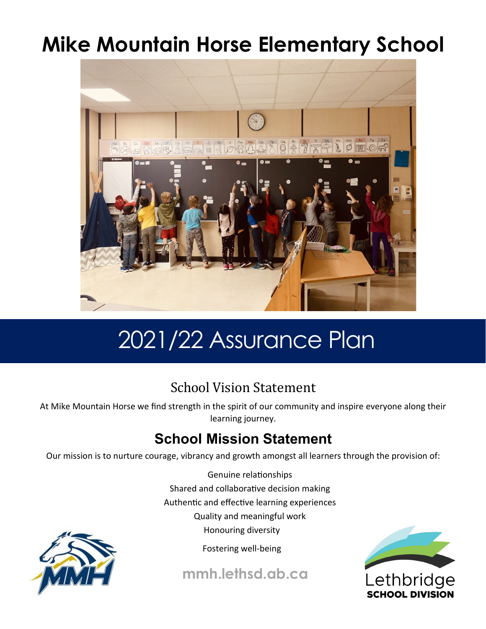# **Mike Mountain Horse Elementary School**



# 2021/22 Assurance Plan

# School Vision Statement

At Mike Mountain Horse we find strength in the spirit of our community and inspire everyone along their learning journey.

# **School Mission Statement**

Our mission is to nurture courage, vibrancy and growth amongst all learners through the provision of:

Genuine relationships Shared and collaborative decision making Authentic and effective learning experiences

Quality and meaningful work

Honouring diversity



**mmh.lethsd.ab.ca**



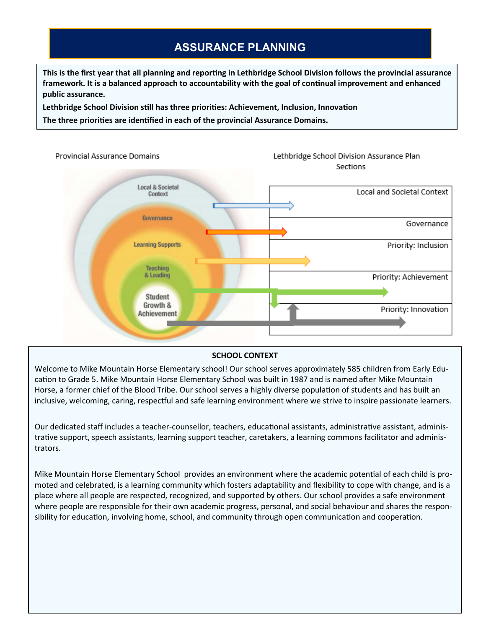# **ASSURANCE PLANNING**

**This is the first year that all planning and reporting in Lethbridge School Division follows the provincial assurance framework. It is a balanced approach to accountability with the goal of continual improvement and enhanced public assurance.** 

**Lethbridge School Division still has three priorities: Achievement, Inclusion, Innovation**

**The three priorities are identified in each of the provincial Assurance Domains.** 



#### **SCHOOL CONTEXT**

Welcome to Mike Mountain Horse Elementary school! Our school serves approximately 585 children from Early Education to Grade 5. Mike Mountain Horse Elementary School was built in 1987 and is named after Mike Mountain Horse, a former chief of the Blood Tribe. Our school serves a highly diverse population of students and has built an inclusive, welcoming, caring, respectful and safe learning environment where we strive to inspire passionate learners.

Our dedicated staff includes a teacher-counsellor, teachers, educational assistants, administrative assistant, administrative support, speech assistants, learning support teacher, caretakers, a learning commons facilitator and administrators.

Mike Mountain Horse Elementary School provides an environment where the academic potential of each child is promoted and celebrated, is a learning community which fosters adaptability and flexibility to cope with change, and is a place where all people are respected, recognized, and supported by others. Our school provides a safe environment where people are responsible for their own academic progress, personal, and social behaviour and shares the responsibility for education, involving home, school, and community through open communication and cooperation.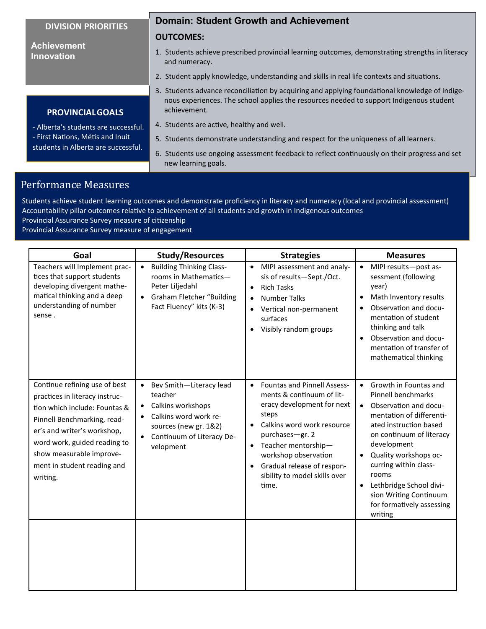#### **DIVISION PRIORITIES**

**PROVINCIALGOALS** - Alberta's students are successful. - First Nations, Métis and Inuit students in Alberta are successful.

#### **Achievement Innovation**

#### **Domain: Student Growth and Achievement**

#### **OUTCOMES:**

- 1. Students achieve prescribed provincial learning outcomes, demonstrating strengths in literacy and numeracy.
- 2. Student apply knowledge, understanding and skills in real life contexts and situations.
- 3. Students advance reconciliation by acquiring and applying foundational knowledge of Indigenous experiences. The school applies the resources needed to support Indigenous student achievement.
- 4. Students are active, healthy and well.
- 5. Students demonstrate understanding and respect for the uniqueness of all learners.
- 6. Students use ongoing assessment feedback to reflect continuously on their progress and set new learning goals.

# Performance Measures

Students achieve student learning outcomes and demonstrate proficiency in literacy and numeracy (local and provincial assessment) Accountability pillar outcomes relative to achievement of all students and growth in Indigenous outcomes

Provincial Assurance Survey measure of citizenship

Provincial Assurance Survey measure of engagement

| Goal                                                                                                                                                                                                                                                                  | <b>Study/Resources</b>                                                                                                                                           | <b>Strategies</b>                                                                                                                                                                                                                                                                                                     | <b>Measures</b>                                                                                                                                                                                                                                                                                                                                                             |
|-----------------------------------------------------------------------------------------------------------------------------------------------------------------------------------------------------------------------------------------------------------------------|------------------------------------------------------------------------------------------------------------------------------------------------------------------|-----------------------------------------------------------------------------------------------------------------------------------------------------------------------------------------------------------------------------------------------------------------------------------------------------------------------|-----------------------------------------------------------------------------------------------------------------------------------------------------------------------------------------------------------------------------------------------------------------------------------------------------------------------------------------------------------------------------|
| Teachers will Implement prac-<br>tices that support students<br>developing divergent mathe-<br>matical thinking and a deep<br>understanding of number<br>sense.                                                                                                       | <b>Building Thinking Class-</b><br>rooms in Mathematics-<br>Peter Liljedahl<br><b>Graham Fletcher "Building</b><br>$\bullet$<br>Fact Fluency" kits (K-3)         | MIPI assessment and analy-<br>$\bullet$<br>sis of results-Sept./Oct.<br><b>Rich Tasks</b><br>$\bullet$<br><b>Number Talks</b><br>$\bullet$<br>Vertical non-permanent<br>surfaces<br>Visibly random groups                                                                                                             | MIPI results-post as-<br>$\bullet$<br>sessment (following<br>year)<br>Math Inventory results<br>$\bullet$<br>Observation and docu-<br>mentation of student<br>thinking and talk<br>Observation and docu-<br>mentation of transfer of<br>mathematical thinking                                                                                                               |
| Continue refining use of best<br>practices in literacy instruc-<br>tion which include: Fountas &<br>Pinnell Benchmarking, read-<br>er's and writer's workshop,<br>word work, guided reading to<br>show measurable improve-<br>ment in student reading and<br>writing. | Bev Smith-Literacy lead<br>$\bullet$<br>teacher<br>Calkins workshops<br>Calkins word work re-<br>sources (new gr. 1&2)<br>Continuum of Literacy De-<br>velopment | <b>Fountas and Pinnell Assess-</b><br>$\bullet$<br>ments & continuum of lit-<br>eracy development for next<br>steps<br>Calkins word work resource<br>$\bullet$<br>purchases-gr. 2<br>Teacher mentorship-<br>$\bullet$<br>workshop observation<br>Gradual release of respon-<br>sibility to model skills over<br>time. | Growth in Fountas and<br>$\bullet$<br><b>Pinnell benchmarks</b><br>Observation and docu-<br>$\bullet$<br>mentation of differenti-<br>ated instruction based<br>on continuum of literacy<br>development<br>Quality workshops oc-<br>curring within class-<br>rooms<br>Lethbridge School divi-<br>$\bullet$<br>sion Writing Continuum<br>for formatively assessing<br>writing |
|                                                                                                                                                                                                                                                                       |                                                                                                                                                                  |                                                                                                                                                                                                                                                                                                                       |                                                                                                                                                                                                                                                                                                                                                                             |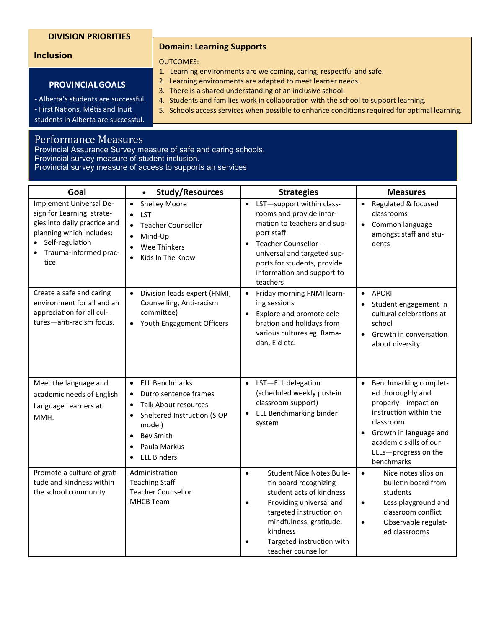#### **DIVISION PRIORITIES**

#### **Inclusion**

#### **Domain: Learning Supports**

#### OUTCOMES:

- 1. Learning environments are welcoming, caring, respectful and safe.
- 2. Learning environments are adapted to meet learner needs.
- 3. There is a shared understanding of an inclusive school.
- 4. Students and families work in collaboration with the school to support learning.
- 5. Schools access services when possible to enhance conditions required for optimal learning.

students in Alberta are successful.

**PROVINCIALGOALS**

### Performance Measures

Provincial Assurance Survey measure of safe and caring schools.

Provincial survey measure of student inclusion.

Provincial survey measure of access to supports an services

| Goal                                                                                                                                                                 | <b>Study/Resources</b><br>$\bullet$                                                                                                                                                                                                               | <b>Strategies</b>                                                                                                                                                                                                                                  | <b>Measures</b>                                                                                                                                                                                                             |
|----------------------------------------------------------------------------------------------------------------------------------------------------------------------|---------------------------------------------------------------------------------------------------------------------------------------------------------------------------------------------------------------------------------------------------|----------------------------------------------------------------------------------------------------------------------------------------------------------------------------------------------------------------------------------------------------|-----------------------------------------------------------------------------------------------------------------------------------------------------------------------------------------------------------------------------|
| Implement Universal De-<br>sign for Learning strate-<br>gies into daily practice and<br>planning which includes:<br>Self-regulation<br>Trauma-informed prac-<br>tice | <b>Shelley Moore</b><br>$\bullet$<br>LST<br>$\bullet$<br><b>Teacher Counsellor</b><br>Mind-Up<br>$\bullet$<br>Wee Thinkers<br>$\bullet$<br>Kids In The Know<br>$\bullet$                                                                          | • LST-support within class-<br>rooms and provide infor-<br>mation to teachers and sup-<br>port staff<br>Teacher Counsellor-<br>$\bullet$<br>universal and targeted sup-<br>ports for students, provide<br>information and support to<br>teachers   | Regulated & focused<br>$\bullet$<br>classrooms<br>Common language<br>$\bullet$<br>amongst staff and stu-<br>dents                                                                                                           |
| Create a safe and caring<br>environment for all and an<br>appreciation for all cul-<br>tures-anti-racism focus.                                                      | Division leads expert (FNMI,<br>$\bullet$<br>Counselling, Anti-racism<br>committee)<br>Youth Engagement Officers                                                                                                                                  | • Friday morning FNMI learn-<br>ing sessions<br>Explore and promote cele-<br>$\bullet$<br>bration and holidays from<br>various cultures eg. Rama-<br>dan, Eid etc.                                                                                 | <b>APORI</b><br>$\bullet$<br>Student engagement in<br>cultural celebrations at<br>school<br>Growth in conversation<br>$\bullet$<br>about diversity                                                                          |
| Meet the language and<br>academic needs of English<br>Language Learners at<br>MMH.                                                                                   | <b>ELL Benchmarks</b><br>$\bullet$<br>Dutro sentence frames<br><b>Talk About resources</b><br>$\bullet$<br>Sheltered Instruction (SIOP<br>$\bullet$<br>model)<br><b>Bev Smith</b><br>$\bullet$<br>Paula Markus<br>$\bullet$<br><b>ELL Binders</b> | • LST-ELL delegation<br>(scheduled weekly push-in<br>classroom support)<br><b>ELL Benchmarking binder</b><br>system                                                                                                                                | Benchmarking complet-<br>$\bullet$<br>ed thoroughly and<br>properly-impact on<br>instruction within the<br>classroom<br>Growth in language and<br>$\bullet$<br>academic skills of our<br>ELLs-progress on the<br>benchmarks |
| Promote a culture of grati-<br>tude and kindness within<br>the school community.                                                                                     | Administration<br><b>Teaching Staff</b><br><b>Teacher Counsellor</b><br><b>MHCB Team</b>                                                                                                                                                          | <b>Student Nice Notes Bulle-</b><br>$\bullet$<br>tin board recognizing<br>student acts of kindness<br>Providing universal and<br>targeted instruction on<br>mindfulness, gratitude,<br>kindness<br>Targeted instruction with<br>teacher counsellor | $\bullet$<br>Nice notes slips on<br>bulletin board from<br>students<br>Less playground and<br>$\bullet$<br>classroom conflict<br>Observable regulat-<br>$\bullet$<br>ed classrooms                                          |

- Alberta's students are successful. - First Nations, Métis and Inuit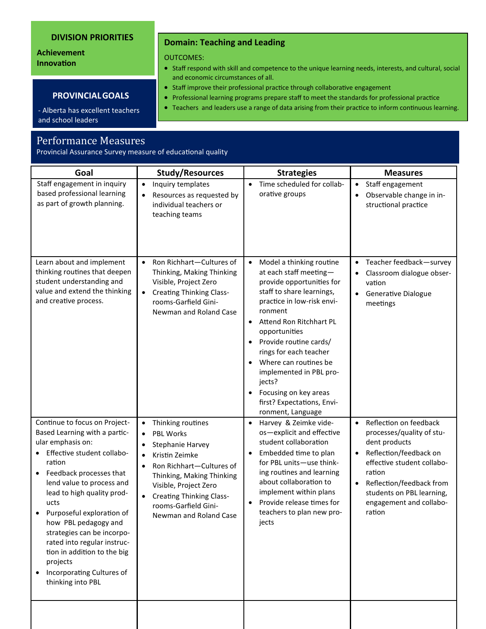#### **DIVISION PRIORITIES**

### **Achievement Innovation**

#### **PROVINCIALGOALS**

- Alberta has excellent teachers and school leaders

## Performance Measures

Provincial Assurance Survey measure of educational quality

| Goal                                                                                                                                                                                                                                                                                                                                                                                                                                     | <b>Study/Resources</b>                                                                                                                                                                                                                                                                    | <b>Strategies</b>                                                                                                                                                                                                                                                                                                                                                                                                              | <b>Measures</b>                                                                                                                                                                                                                                                |
|------------------------------------------------------------------------------------------------------------------------------------------------------------------------------------------------------------------------------------------------------------------------------------------------------------------------------------------------------------------------------------------------------------------------------------------|-------------------------------------------------------------------------------------------------------------------------------------------------------------------------------------------------------------------------------------------------------------------------------------------|--------------------------------------------------------------------------------------------------------------------------------------------------------------------------------------------------------------------------------------------------------------------------------------------------------------------------------------------------------------------------------------------------------------------------------|----------------------------------------------------------------------------------------------------------------------------------------------------------------------------------------------------------------------------------------------------------------|
| Staff engagement in inquiry<br>based professional learning<br>as part of growth planning.                                                                                                                                                                                                                                                                                                                                                | Inquiry templates<br>$\bullet$<br>Resources as requested by<br>individual teachers or<br>teaching teams                                                                                                                                                                                   | Time scheduled for collab-<br>$\bullet$<br>orative groups                                                                                                                                                                                                                                                                                                                                                                      | Staff engagement<br>$\bullet$<br>Observable change in in-<br>$\bullet$<br>structional practice                                                                                                                                                                 |
| Learn about and implement<br>thinking routines that deepen<br>student understanding and<br>value and extend the thinking<br>and creative process.                                                                                                                                                                                                                                                                                        | Ron Richhart-Cultures of<br>Thinking, Making Thinking<br>Visible, Project Zero<br><b>Creating Thinking Class-</b><br>$\bullet$<br>rooms-Garfield Gini-<br>Newman and Roland Case                                                                                                          | Model a thinking routine<br>at each staff meeting-<br>provide opportunities for<br>staff to share learnings,<br>practice in low-risk envi-<br>ronment<br>Attend Ron Ritchhart PL<br>$\bullet$<br>opportunities<br>Provide routine cards/<br>$\bullet$<br>rings for each teacher<br>Where can routines be<br>implemented in PBL pro-<br>jects?<br>Focusing on key areas<br>٠<br>first? Expectations, Envi-<br>ronment, Language | Teacher feedback-survey<br>$\bullet$<br>Classroom dialogue obser-<br>$\bullet$<br>vation<br><b>Generative Dialogue</b><br>$\bullet$<br>meetings                                                                                                                |
| Continue to focus on Project-<br>Based Learning with a partic-<br>ular emphasis on:<br>Effective student collabo-<br>ration<br>Feedback processes that<br>lend value to process and<br>lead to high quality prod-<br>ucts<br>Purposeful exploration of<br>how PBL pedagogy and<br>strategies can be incorpo-<br>rated into regular instruc-<br>tion in addition to the big<br>projects<br>Incorporating Cultures of<br>thinking into PBL | Thinking routines<br>$\bullet$<br><b>PBL Works</b><br>Stephanie Harvey<br>Kristin Zeimke<br>$\bullet$<br>Ron Richhart-Cultures of<br>$\bullet$<br>Thinking, Making Thinking<br>Visible, Project Zero<br><b>Creating Thinking Class-</b><br>rooms-Garfield Gini-<br>Newman and Roland Case | Harvey & Zeimke vide-<br>$\bullet$<br>os-explicit and effective<br>student collaboration<br>Embedded time to plan<br>for PBL units-use think-<br>ing routines and learning<br>about collaboration to<br>implement within plans<br>Provide release times for<br>$\bullet$<br>teachers to plan new pro-<br>jects                                                                                                                 | Reflection on feedback<br>$\bullet$<br>processes/quality of stu-<br>dent products<br>Reflection/feedback on<br>effective student collabo-<br>ration<br>Reflection/feedback from<br>$\bullet$<br>students on PBL learning,<br>engagement and collabo-<br>ration |
|                                                                                                                                                                                                                                                                                                                                                                                                                                          |                                                                                                                                                                                                                                                                                           |                                                                                                                                                                                                                                                                                                                                                                                                                                |                                                                                                                                                                                                                                                                |

### **Domain: Teaching and Leading**

OUTCOMES:

- Staff respond with skill and competence to the unique learning needs, interests, and cultural, social and economic circumstances of all.
- Staff improve their professional practice through collaborative engagement
- Professional learning programs prepare staff to meet the standards for professional practice
- Teachers and leaders use a range of data arising from their practice to inform continuous learning.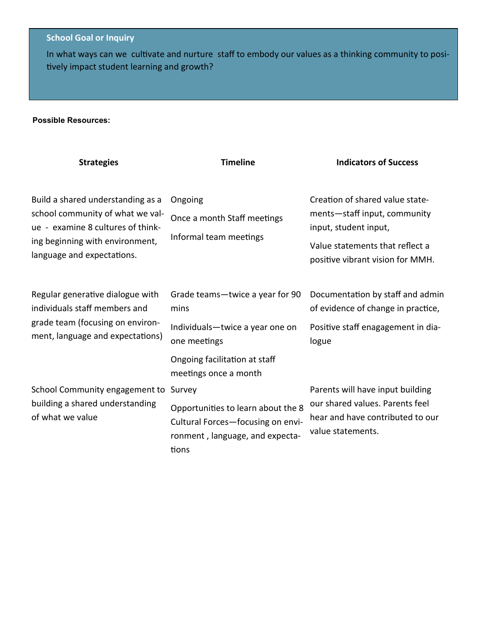### **School Goal or Inquiry**

In what ways can we cultivate and nurture staff to embody our values as a thinking community to positively impact student learning and growth?

### **Possible Resources:**

| <b>Strategies</b>                                                                                                                                                           | <b>Timeline</b>                                                                                                     | <b>Indicators of Success</b>                                                                                                                                    |  |
|-----------------------------------------------------------------------------------------------------------------------------------------------------------------------------|---------------------------------------------------------------------------------------------------------------------|-----------------------------------------------------------------------------------------------------------------------------------------------------------------|--|
| Build a shared understanding as a<br>school community of what we val-<br>ue - examine 8 cultures of think-<br>ing beginning with environment,<br>language and expectations. | Ongoing<br>Once a month Staff meetings<br>Informal team meetings                                                    | Creation of shared value state-<br>ments-staff input, community<br>input, student input,<br>Value statements that reflect a<br>positive vibrant vision for MMH. |  |
| Regular generative dialogue with<br>individuals staff members and                                                                                                           | Grade teams-twice a year for 90<br>mins                                                                             | Documentation by staff and admin<br>of evidence of change in practice,                                                                                          |  |
| grade team (focusing on environ-<br>ment, language and expectations)                                                                                                        | Individuals-twice a year one on<br>one meetings                                                                     | Positive staff enagagement in dia-<br>logue                                                                                                                     |  |
|                                                                                                                                                                             | Ongoing facilitation at staff<br>meetings once a month                                                              |                                                                                                                                                                 |  |
| School Community engagement to                                                                                                                                              | Survey                                                                                                              | Parents will have input building                                                                                                                                |  |
| building a shared understanding<br>of what we value                                                                                                                         | Opportunities to learn about the 8<br>Cultural Forces-focusing on envi-<br>ronment, language, and expecta-<br>tions | our shared values. Parents feel<br>hear and have contributed to our<br>value statements.                                                                        |  |